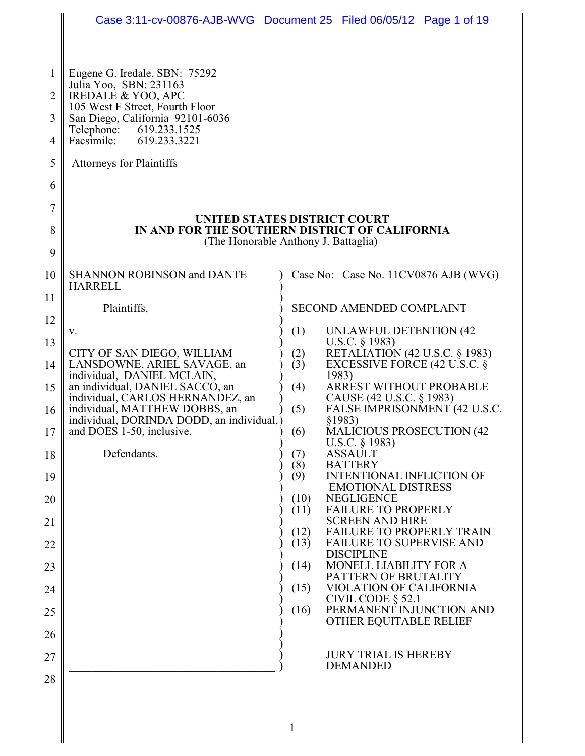|        | Case 3:11-cv-00876-AJB-WVG Document 25 Filed 06/05/12 Page 1 of 19                           |                                      |                                                                                  |  |  |
|--------|----------------------------------------------------------------------------------------------|--------------------------------------|----------------------------------------------------------------------------------|--|--|
|        |                                                                                              |                                      |                                                                                  |  |  |
| 1<br>2 | Eugene G. Iredale, SBN: 75292<br>Julia Yoo, SBN: 231163<br><b>IREDALE &amp; YOO, APC</b>     |                                      |                                                                                  |  |  |
|        | 105 West F Street, Fourth Floor                                                              |                                      |                                                                                  |  |  |
| 3<br>4 | San Diego, California 92101-6036<br>619.233.1525<br>Telephone:<br>Facsimile:<br>619.233.3221 |                                      |                                                                                  |  |  |
| 5      | Attorneys for Plaintiffs                                                                     |                                      |                                                                                  |  |  |
| 6      |                                                                                              |                                      |                                                                                  |  |  |
| 7      |                                                                                              |                                      |                                                                                  |  |  |
| 8      | UNITED STATES DISTRICT COURT<br>IN AND FOR THE SOUTHERN DISTRICT OF CALIFORNIA               |                                      |                                                                                  |  |  |
| 9      |                                                                                              | (The Honorable Anthony J. Battaglia) |                                                                                  |  |  |
| 10     | <b>SHANNON ROBINSON and DANTE</b>                                                            |                                      | Case No: Case No. 11CV0876 AJB (WVG)                                             |  |  |
| 11     | <b>HARRELL</b><br>Plaintiffs,                                                                |                                      | <b>SECOND AMENDED COMPLAINT</b>                                                  |  |  |
| 12     |                                                                                              |                                      |                                                                                  |  |  |
| 13     | v.                                                                                           | (1)                                  | UNLAWFUL DETENTION (42)<br>U.S.C. $\S$ 1983)                                     |  |  |
| 14     | CITY OF SAN DIEGO, WILLIAM<br>LANSDOWNE, ARIEL SAVAGE, an                                    | (2)<br>(3)                           | <b>RETALIATION (42 U.S.C. § 1983)</b><br>EXCESSIVE FORCE $(42 \text{ U.S.C. }$ § |  |  |
| 15     | individual, DANIEL MCLAIN,<br>an individual, DANIEL SACCO, an                                | (4)                                  | 1983)<br>ARREST WITHOUT PROBABLE                                                 |  |  |
| 16     | individual, CARLOS HERNANDEZ, an<br>individual, MATTHEW DOBBS, an                            | (5)                                  | CAUSE (42 U.S.C. § 1983)<br>FALSE IMPRISONMENT (42 U.S.C.                        |  |  |
| 17     | individual, DORINDA DODD, an individual,)<br>and DOES 1-50, inclusive.                       | (6)                                  | §1983)<br><b>MALICIOUS PROSECUTION (42)</b>                                      |  |  |
| 18     | Defendants.                                                                                  | (7)                                  | U.S.C. § 1983)<br><b>ASSAULT</b>                                                 |  |  |
| 19     |                                                                                              | (8)<br>(9)                           | <b>BATTERY</b><br><b>INTENTIONAL INFLICTION OF</b>                               |  |  |
| 20     |                                                                                              | (10)                                 | <b>EMOTIONAL DISTRESS</b><br><b>NEGLIGENCE</b>                                   |  |  |
| 21     |                                                                                              | (11)                                 | <b>FAILURE TO PROPERLY</b><br><b>SCREEN AND HIRE</b>                             |  |  |
| 22     |                                                                                              | (12)<br>(13)                         | <b>FAILURE TO PROPERLY TRAIN</b><br><b>FAILURE TO SUPERVISE AND</b>              |  |  |
| 23     |                                                                                              | (14)                                 | <b>DISCIPLINE</b><br>MONELL LIABILITY FOR A                                      |  |  |
| 24     |                                                                                              | (15)                                 | PATTERN OF BRUTALITY<br>VIOLATION OF CALIFORNIA                                  |  |  |
| 25     |                                                                                              | (16)                                 | CIVIL CODE $\S$ 52.1<br>PERMANENT INJUNCTION AND                                 |  |  |
| 26     |                                                                                              |                                      | OTHER EQUITABLE RELIEF                                                           |  |  |
|        |                                                                                              |                                      | <b>JURY TRIAL IS HEREBY</b>                                                      |  |  |
| 27     |                                                                                              |                                      | <b>DEMANDED</b>                                                                  |  |  |
| 28     |                                                                                              |                                      |                                                                                  |  |  |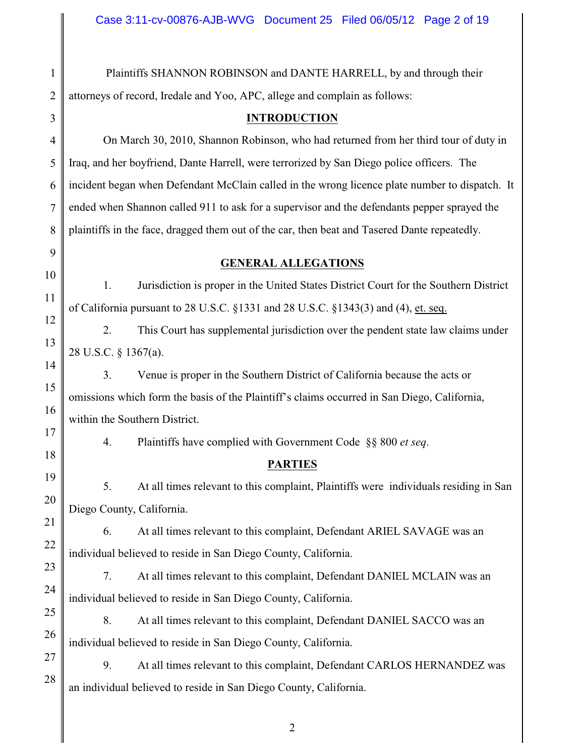| $\mathbf{1}$   | Plaintiffs SHANNON ROBINSON and DANTE HARRELL, by and through their                            |  |  |  |
|----------------|------------------------------------------------------------------------------------------------|--|--|--|
| $\overline{2}$ | attorneys of record, Iredale and Yoo, APC, allege and complain as follows:                     |  |  |  |
| 3              | <b>INTRODUCTION</b>                                                                            |  |  |  |
| $\overline{4}$ | On March 30, 2010, Shannon Robinson, who had returned from her third tour of duty in           |  |  |  |
| 5              | Iraq, and her boyfriend, Dante Harrell, were terrorized by San Diego police officers. The      |  |  |  |
| 6              | incident began when Defendant McClain called in the wrong licence plate number to dispatch. It |  |  |  |
| $\overline{7}$ | ended when Shannon called 911 to ask for a supervisor and the defendants pepper sprayed the    |  |  |  |
| 8              | plaintiffs in the face, dragged them out of the car, then beat and Tasered Dante repeatedly.   |  |  |  |
| 9              | <b>GENERAL ALLEGATIONS</b>                                                                     |  |  |  |
| 10             | 1.<br>Jurisdiction is proper in the United States District Court for the Southern District     |  |  |  |
| 11             | of California pursuant to 28 U.S.C. §1331 and 28 U.S.C. §1343(3) and (4), et. seq.             |  |  |  |
| 12             | 2.<br>This Court has supplemental jurisdiction over the pendent state law claims under         |  |  |  |
| 13             | 28 U.S.C. § 1367(a).                                                                           |  |  |  |
| 14             | 3.<br>Venue is proper in the Southern District of California because the acts or               |  |  |  |
| 15             | omissions which form the basis of the Plaintiff's claims occurred in San Diego, California,    |  |  |  |
| 16             | within the Southern District.                                                                  |  |  |  |
| 17             | 4.<br>Plaintiffs have complied with Government Code §§ 800 et seq.                             |  |  |  |
| 18             | <b>PARTIES</b>                                                                                 |  |  |  |
| 19             | At all times relevant to this complaint, Plaintiffs were individuals residing in San<br>5.     |  |  |  |
| 20             | Diego County, California.                                                                      |  |  |  |
| 21             | At all times relevant to this complaint, Defendant ARIEL SAVAGE was an<br>6.                   |  |  |  |
| 22             | individual believed to reside in San Diego County, California.                                 |  |  |  |
| 23             | At all times relevant to this complaint, Defendant DANIEL MCLAIN was an<br>7.                  |  |  |  |
| 24             | individual believed to reside in San Diego County, California.                                 |  |  |  |
| 25             | 8.<br>At all times relevant to this complaint, Defendant DANIEL SACCO was an                   |  |  |  |
| 26             | individual believed to reside in San Diego County, California.                                 |  |  |  |
| 27             | 9.<br>At all times relevant to this complaint, Defendant CARLOS HERNANDEZ was                  |  |  |  |
| 28             | an individual believed to reside in San Diego County, California.                              |  |  |  |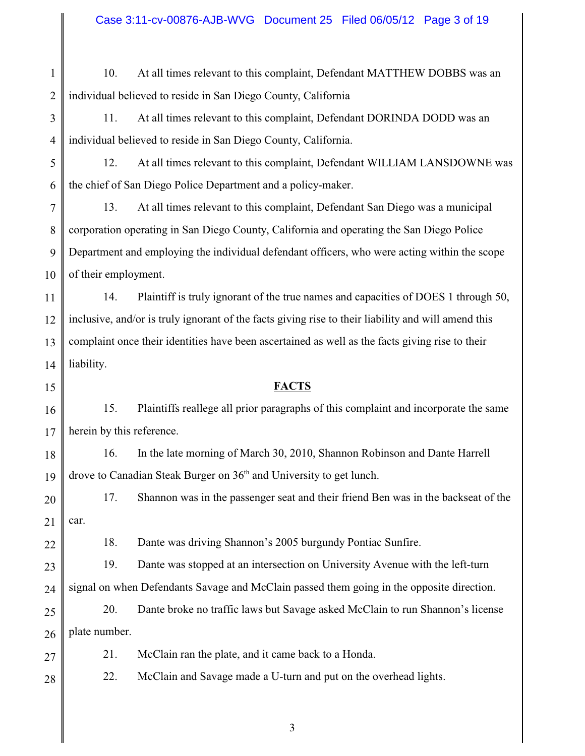22 28 3 11. At all times relevant to this complaint, Defendant DORINDA DODD was an individual believed to reside in San Diego County, California. the chief of San Diego Police Department and a policy-maker. 13. At all times relevant to this complaint, Defendant San Diego was a municipal corporation operating in San Diego County, California and operating the San Diego Police of their employment. inclusive, and/or is truly ignorant of the facts giving rise to their liability and will amend this complaint once their identities have been ascertained as well as the facts giving rise to their liability. **FACTS** herein by this reference. 16. In the late morning of March 30, 2010, Shannon Robinson and Dante Harrell drove to Canadian Steak Burger on  $36<sup>th</sup>$  and University to get lunch. car. 18. Dante was driving Shannon's 2005 burgundy Pontiac Sunfire. 19. Dante was stopped at an intersection on University Avenue with the left-turn signal on when Defendants Savage and McClain passed them going in the opposite direction. plate number. 21. McClain ran the plate, and it came back to a Honda. 22. McClain and Savage made a U-turn and put on the overhead lights.

## Case 3:11-cv-00876-AJB-WVG Document 25 Filed 06/05/12 Page 3 of 19

1 2 10. At all times relevant to this complaint, Defendant MATTHEW DOBBS was an individual believed to reside in San Diego County, California

- 3 4
- 5 6 12. At all times relevant to this complaint, Defendant WILLIAM LANSDOWNE was

7 8 9 10 Department and employing the individual defendant officers, who were acting within the scope

11 12 13 14 14. Plaintiff is truly ignorant of the true names and capacities of DOES 1 through 50,

15

16 17 15. Plaintiffs reallege all prior paragraphs of this complaint and incorporate the same

18 19

20 21 17. Shannon was in the passenger seat and their friend Ben was in the backseat of the

- 25 26 20. Dante broke no traffic laws but Savage asked McClain to run Shannon's license
- 27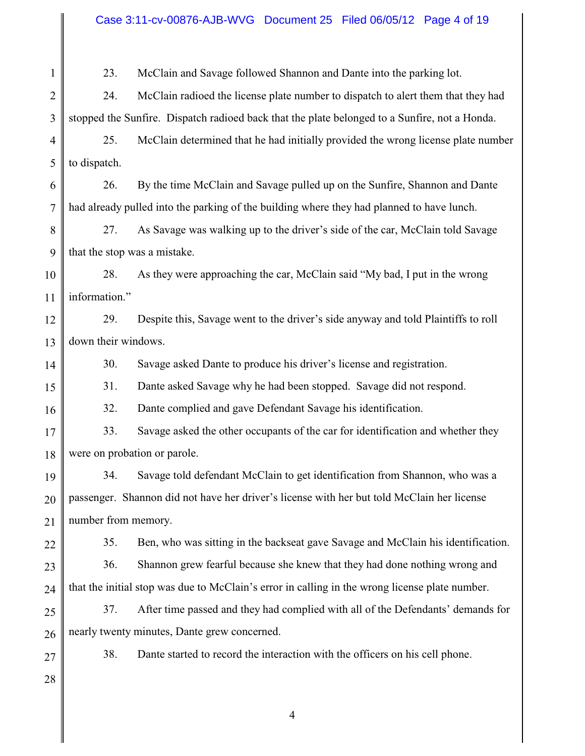#### Case 3:11-cv-00876-AJB-WVG Document 25 Filed 06/05/12 Page 4 of 19

1 2 3 4 5 6 7 8 9 10 11 12 13 14 15 16 17 18 19 20 21 22 23 24 25 26 27 28 23. McClain and Savage followed Shannon and Dante into the parking lot. 24. McClain radioed the license plate number to dispatch to alert them that they had stopped the Sunfire. Dispatch radioed back that the plate belonged to a Sunfire, not a Honda. 25. McClain determined that he had initially provided the wrong license plate number to dispatch. 26. By the time McClain and Savage pulled up on the Sunfire, Shannon and Dante had already pulled into the parking of the building where they had planned to have lunch. 27. As Savage was walking up to the driver's side of the car, McClain told Savage that the stop was a mistake. 28. As they were approaching the car, McClain said "My bad, I put in the wrong information." 29. Despite this, Savage went to the driver's side anyway and told Plaintiffs to roll down their windows. 30. Savage asked Dante to produce his driver's license and registration. 31. Dante asked Savage why he had been stopped. Savage did not respond. 32. Dante complied and gave Defendant Savage his identification. 33. Savage asked the other occupants of the car for identification and whether they were on probation or parole. 34. Savage told defendant McClain to get identification from Shannon, who was a passenger. Shannon did not have her driver's license with her but told McClain her license number from memory. 35. Ben, who was sitting in the backseat gave Savage and McClain his identification. 36. Shannon grew fearful because she knew that they had done nothing wrong and that the initial stop was due to McClain's error in calling in the wrong license plate number. 37. After time passed and they had complied with all of the Defendants' demands for nearly twenty minutes, Dante grew concerned. 38. Dante started to record the interaction with the officers on his cell phone.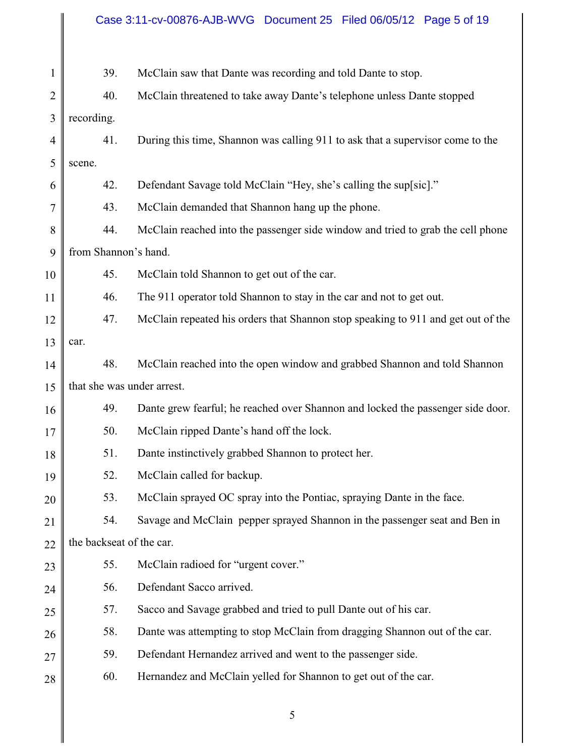# Case 3:11-cv-00876-AJB-WVG Document 25 Filed 06/05/12 Page 5 of 19

| 1              | 39.                        | McClain saw that Dante was recording and told Dante to stop.                     |  |  |  |
|----------------|----------------------------|----------------------------------------------------------------------------------|--|--|--|
| $\overline{2}$ | 40.                        | McClain threatened to take away Dante's telephone unless Dante stopped           |  |  |  |
| 3              | recording.                 |                                                                                  |  |  |  |
| 4              | 41.                        | During this time, Shannon was calling 911 to ask that a supervisor come to the   |  |  |  |
| 5              | scene.                     |                                                                                  |  |  |  |
| 6              | 42.                        | Defendant Savage told McClain "Hey, she's calling the sup[sic]."                 |  |  |  |
| 7              | 43.                        | McClain demanded that Shannon hang up the phone.                                 |  |  |  |
| 8              | 44.                        | McClain reached into the passenger side window and tried to grab the cell phone  |  |  |  |
| 9              | from Shannon's hand.       |                                                                                  |  |  |  |
| 10             | 45.                        | McClain told Shannon to get out of the car.                                      |  |  |  |
| 11             | 46.                        | The 911 operator told Shannon to stay in the car and not to get out.             |  |  |  |
| 12             | 47.                        | McClain repeated his orders that Shannon stop speaking to 911 and get out of the |  |  |  |
| 13             | car.                       |                                                                                  |  |  |  |
| 14             | 48.                        | McClain reached into the open window and grabbed Shannon and told Shannon        |  |  |  |
| 15             | that she was under arrest. |                                                                                  |  |  |  |
| 16             | 49.                        | Dante grew fearful; he reached over Shannon and locked the passenger side door.  |  |  |  |
| 17             | 50.                        | McClain ripped Dante's hand off the lock.                                        |  |  |  |
| 18             | 51.                        | Dante instinctively grabbed Shannon to protect her.                              |  |  |  |
| 19             | 52.                        | McClain called for backup.                                                       |  |  |  |
| 20             | 53.                        | McClain sprayed OC spray into the Pontiac, spraying Dante in the face.           |  |  |  |
| 21             | 54.                        | Savage and McClain pepper sprayed Shannon in the passenger seat and Ben in       |  |  |  |
| 22             | the backseat of the car.   |                                                                                  |  |  |  |
| 23             | 55.                        | McClain radioed for "urgent cover."                                              |  |  |  |
| 24             | 56.                        | Defendant Sacco arrived.                                                         |  |  |  |
| 25             | 57.                        | Sacco and Savage grabbed and tried to pull Dante out of his car.                 |  |  |  |
| 26             | 58.                        | Dante was attempting to stop McClain from dragging Shannon out of the car.       |  |  |  |
| 27             | 59.                        | Defendant Hernandez arrived and went to the passenger side.                      |  |  |  |
| 28             | 60.                        | Hernandez and McClain yelled for Shannon to get out of the car.                  |  |  |  |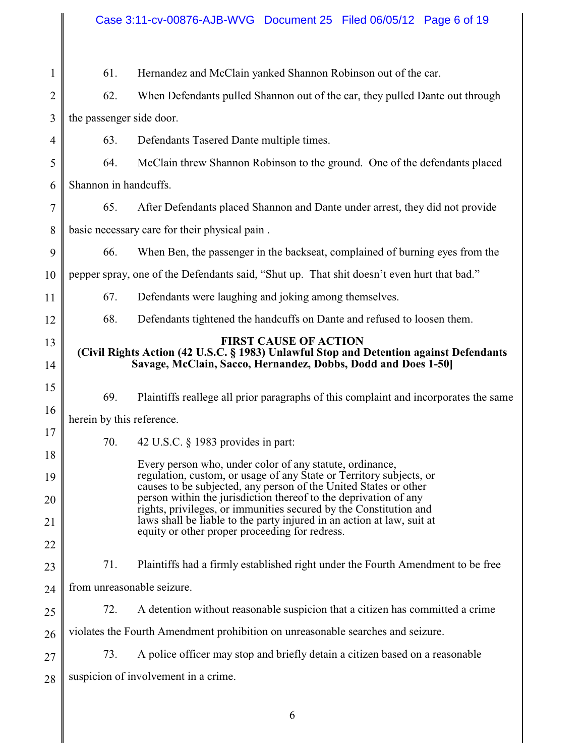#### 1 2 3 4 5 6 7 8 9 10 11 12 13 14 15 16 17 18 19 20 21 22 23 24 25 26 27 28 61. Hernandez and McClain yanked Shannon Robinson out of the car. 62. When Defendants pulled Shannon out of the car, they pulled Dante out through the passenger side door. 63. Defendants Tasered Dante multiple times. 64. McClain threw Shannon Robinson to the ground. One of the defendants placed Shannon in handcuffs. 65. After Defendants placed Shannon and Dante under arrest, they did not provide basic necessary care for their physical pain . 66. When Ben, the passenger in the backseat, complained of burning eyes from the pepper spray, one of the Defendants said, "Shut up. That shit doesn't even hurt that bad." 67. Defendants were laughing and joking among themselves. 68. Defendants tightened the handcuffs on Dante and refused to loosen them. **FIRST CAUSE OF ACTION (Civil Rights Action (42 U.S.C. § 1983) Unlawful Stop and Detention against Defendants Savage, McClain, Sacco, Hernandez, Dobbs, Dodd and Does 1-50]** 69. Plaintiffs reallege all prior paragraphs of this complaint and incorporates the same herein by this reference. 70. 42 U.S.C. § 1983 provides in part: Every person who, under color of any statute, ordinance, regulation, custom, or usage of any State or Territory subjects, or causes to be subjected, any person of the United States or other person within the jurisdiction thereof to the deprivation of any rights, privileges, or immunities secured by the Constitution and laws shall be liable to the party injured in an action at law, suit at equity or other proper proceeding for redress. 71. Plaintiffs had a firmly established right under the Fourth Amendment to be free from unreasonable seizure. 72. A detention without reasonable suspicion that a citizen has committed a crime violates the Fourth Amendment prohibition on unreasonable searches and seizure. 73. A police officer may stop and briefly detain a citizen based on a reasonable suspicion of involvement in a crime.

Case 3:11-cv-00876-AJB-WVG Document 25 Filed 06/05/12 Page 6 of 19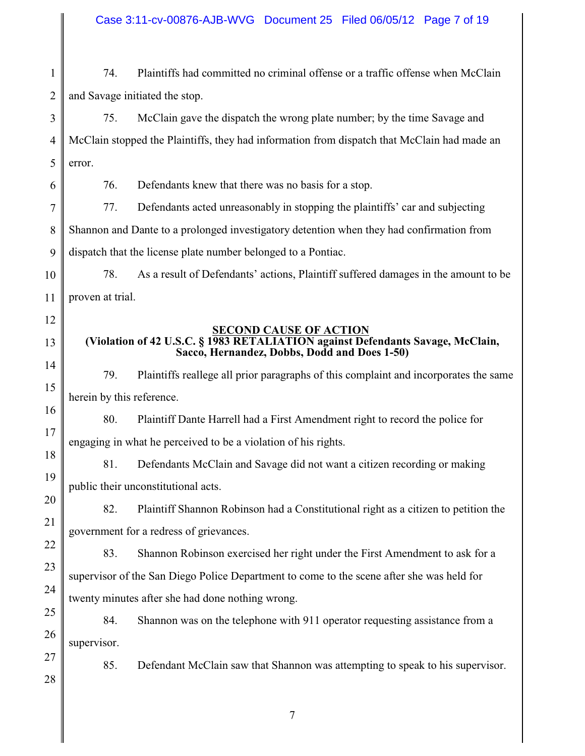#### Case 3:11-cv-00876-AJB-WVG Document 25 Filed 06/05/12 Page 7 of 19

1 2 74. Plaintiffs had committed no criminal offense or a traffic offense when McClain and Savage initiated the stop.

#### 3 4 5 75. McClain gave the dispatch the wrong plate number; by the time Savage and McClain stopped the Plaintiffs, they had information from dispatch that McClain had made an error.

76. Defendants knew that there was no basis for a stop.

77. Defendants acted unreasonably in stopping the plaintiffs' car and subjecting

8 Shannon and Dante to a prolonged investigatory detention when they had confirmation from

9 dispatch that the license plate number belonged to a Pontiac.

10 11 78. As a result of Defendants' actions, Plaintiff suffered damages in the amount to be proven at trial.

12

13

14

15

16

17

18

19

20

21

22

23

24

6

7

**SECOND CAUSE OF ACTION (Violation of 42 U.S.C. § 1983 RETALIATION against Defendants Savage, McClain, Sacco, Hernandez, Dobbs, Dodd and Does 1-50)**

79. Plaintiffs reallege all prior paragraphs of this complaint and incorporates the same herein by this reference.

80. Plaintiff Dante Harrell had a First Amendment right to record the police for engaging in what he perceived to be a violation of his rights.

81. Defendants McClain and Savage did not want a citizen recording or making public their unconstitutional acts.

82. Plaintiff Shannon Robinson had a Constitutional right as a citizen to petition the government for a redress of grievances.

83. Shannon Robinson exercised her right under the First Amendment to ask for a supervisor of the San Diego Police Department to come to the scene after she was held for twenty minutes after she had done nothing wrong.

25 26 84. Shannon was on the telephone with 911 operator requesting assistance from a supervisor.

85. Defendant McClain saw that Shannon was attempting to speak to his supervisor.

28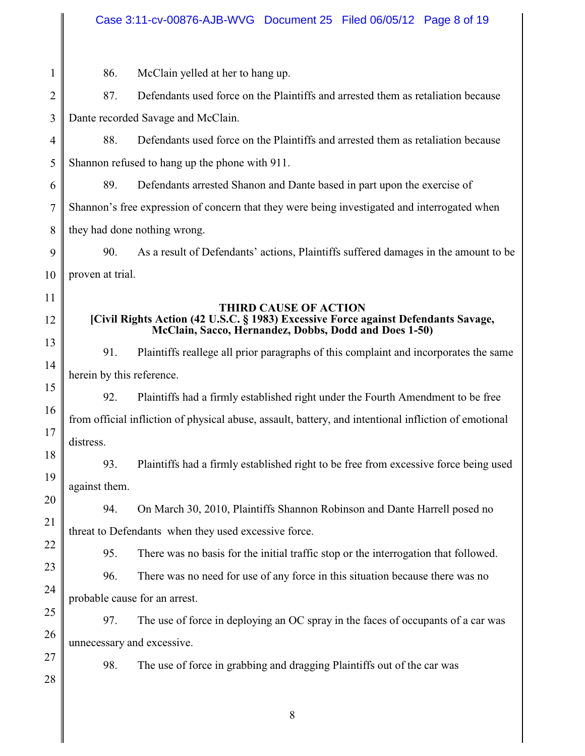# Case 3:11-cv-00876-AJB-WVG Document 25 Filed 06/05/12 Page 8 of 19

|                                                                                                                                             | 86.                                | McClain yelled at her to hang up.                                                                     |  |
|---------------------------------------------------------------------------------------------------------------------------------------------|------------------------------------|-------------------------------------------------------------------------------------------------------|--|
|                                                                                                                                             | 87.                                | Defendants used force on the Plaintiffs and arrested them as retaliation because                      |  |
|                                                                                                                                             | Dante recorded Savage and McClain. |                                                                                                       |  |
|                                                                                                                                             | 88.                                | Defendants used force on the Plaintiffs and arrested them as retaliation because                      |  |
| Shannon refused to hang up the phone with 911.                                                                                              |                                    |                                                                                                       |  |
|                                                                                                                                             | 89.                                | Defendants arrested Shanon and Dante based in part upon the exercise of                               |  |
| Shannon's free expression of concern that they were being investigated and interrogated when                                                |                                    |                                                                                                       |  |
| they had done nothing wrong.                                                                                                                |                                    |                                                                                                       |  |
|                                                                                                                                             | 90.                                | As a result of Defendants' actions, Plaintiffs suffered damages in the amount to be                   |  |
| proven at trial.                                                                                                                            |                                    |                                                                                                       |  |
|                                                                                                                                             |                                    | <b>THIRD CAUSE OF ACTION</b>                                                                          |  |
| [Civil Rights Action (42 U.S.C. § 1983) Excessive Force against Defendants Savage,<br>McClain, Sacco, Hernandez, Dobbs, Dodd and Does 1-50) |                                    |                                                                                                       |  |
|                                                                                                                                             | 91.                                | Plaintiffs reallege all prior paragraphs of this complaint and incorporates the same                  |  |
|                                                                                                                                             | herein by this reference.          |                                                                                                       |  |
|                                                                                                                                             | 92.                                | Plaintiffs had a firmly established right under the Fourth Amendment to be free                       |  |
|                                                                                                                                             |                                    | from official infliction of physical abuse, assault, battery, and intentional infliction of emotional |  |
|                                                                                                                                             | distress.                          |                                                                                                       |  |
|                                                                                                                                             | 93.                                | Plaintiffs had a firmly established right to be free from excessive force being used                  |  |
|                                                                                                                                             | against them.                      |                                                                                                       |  |
|                                                                                                                                             | 94.                                | On March 30, 2010, Plaintiffs Shannon Robinson and Dante Harrell posed no                             |  |
| threat to Defendants when they used excessive force.                                                                                        |                                    |                                                                                                       |  |
|                                                                                                                                             | 95.                                | There was no basis for the initial traffic stop or the interrogation that followed.                   |  |
|                                                                                                                                             | 96.                                | There was no need for use of any force in this situation because there was no                         |  |
|                                                                                                                                             |                                    | probable cause for an arrest.                                                                         |  |
|                                                                                                                                             | 97.                                | The use of force in deploying an OC spray in the faces of occupants of a car was                      |  |
|                                                                                                                                             |                                    | unnecessary and excessive.                                                                            |  |
|                                                                                                                                             | 98.                                | The use of force in grabbing and dragging Plaintiffs out of the car was                               |  |
|                                                                                                                                             |                                    |                                                                                                       |  |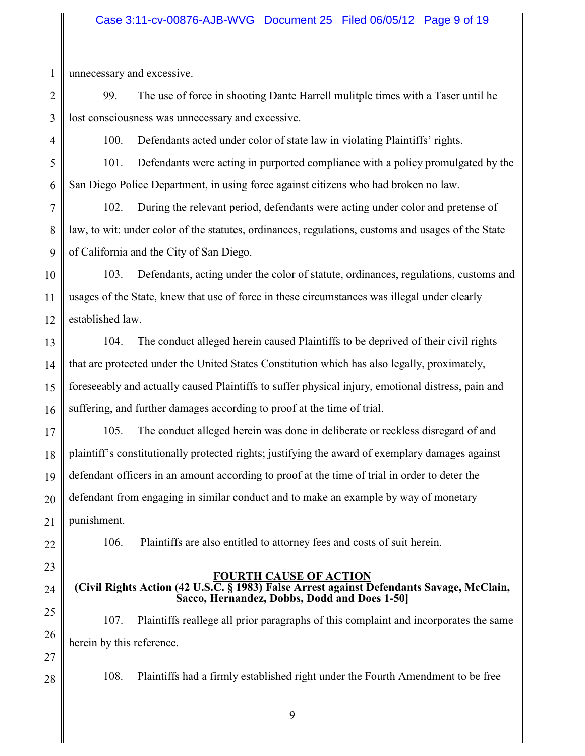### Case 3:11-cv-00876-AJB-WVG Document 25 Filed 06/05/12 Page 9 of 19

1 unnecessary and excessive.

- 2 3 99. The use of force in shooting Dante Harrell mulitple times with a Taser until he lost consciousness was unnecessary and excessive.
- 4

100. Defendants acted under color of state law in violating Plaintiffs' rights.

5 6 101. Defendants were acting in purported compliance with a policy promulgated by the San Diego Police Department, in using force against citizens who had broken no law.

7 8 9 102. During the relevant period, defendants were acting under color and pretense of law, to wit: under color of the statutes, ordinances, regulations, customs and usages of the State of California and the City of San Diego.

- 10 11 12 103. Defendants, acting under the color of statute, ordinances, regulations, customs and usages of the State, knew that use of force in these circumstances was illegal under clearly established law.
- 13 14 15 16 104. The conduct alleged herein caused Plaintiffs to be deprived of their civil rights that are protected under the United States Constitution which has also legally, proximately, foreseeably and actually caused Plaintiffs to suffer physical injury, emotional distress, pain and suffering, and further damages according to proof at the time of trial.

17 18 19 20 21 105. The conduct alleged herein was done in deliberate or reckless disregard of and plaintiff's constitutionally protected rights; justifying the award of exemplary damages against defendant officers in an amount according to proof at the time of trial in order to deter the defendant from engaging in similar conduct and to make an example by way of monetary punishment.

22

106. Plaintiffs are also entitled to attorney fees and costs of suit herein.

23

24

**FOURTH CAUSE OF ACTION (Civil Rights Action (42 U.S.C. § 1983) False Arrest against Defendants Savage, McClain, Sacco, Hernandez, Dobbs, Dodd and Does 1-50]**

25 26 107. Plaintiffs reallege all prior paragraphs of this complaint and incorporates the same herein by this reference.

27

28

108. Plaintiffs had a firmly established right under the Fourth Amendment to be free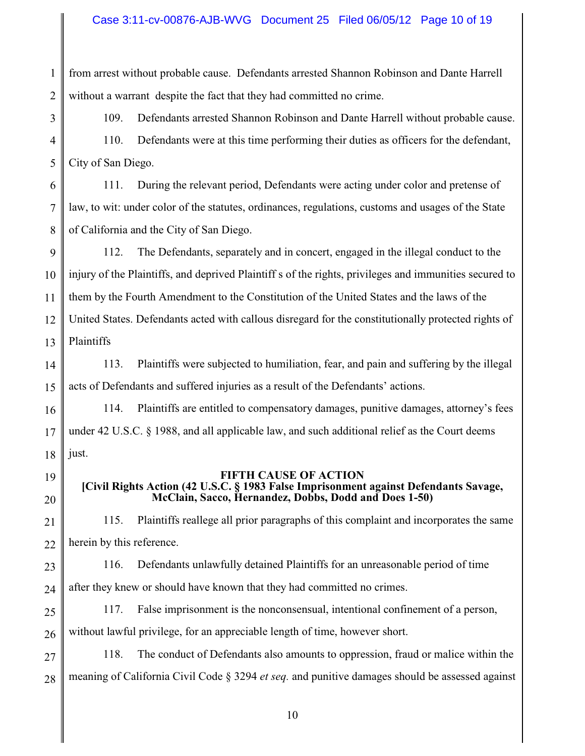#### Case 3:11-cv-00876-AJB-WVG Document 25 Filed 06/05/12 Page 10 of 19

1 2 from arrest without probable cause. Defendants arrested Shannon Robinson and Dante Harrell without a warrant despite the fact that they had committed no crime.

3

4

5

19

20

109. Defendants arrested Shannon Robinson and Dante Harrell without probable cause. 110. Defendants were at this time performing their duties as officers for the defendant, City of San Diego.

6 7 8 111. During the relevant period, Defendants were acting under color and pretense of law, to wit: under color of the statutes, ordinances, regulations, customs and usages of the State of California and the City of San Diego.

9 10 11 12 13 112. The Defendants, separately and in concert, engaged in the illegal conduct to the injury of the Plaintiffs, and deprived Plaintiff s of the rights, privileges and immunities secured to them by the Fourth Amendment to the Constitution of the United States and the laws of the United States. Defendants acted with callous disregard for the constitutionally protected rights of Plaintiffs

14 15 113. Plaintiffs were subjected to humiliation, fear, and pain and suffering by the illegal acts of Defendants and suffered injuries as a result of the Defendants' actions.

16 17 18 114. Plaintiffs are entitled to compensatory damages, punitive damages, attorney's fees under 42 U.S.C.  $\S$  1988, and all applicable law, and such additional relief as the Court deems just.

#### **FIFTH CAUSE OF ACTION**

## **[Civil Rights Action (42 U.S.C. § 1983 False Imprisonment against Defendants Savage, McClain, Sacco, Hernandez, Dobbs, Dodd and Does 1-50)**

21 22 115. Plaintiffs reallege all prior paragraphs of this complaint and incorporates the same herein by this reference.

23 24 116. Defendants unlawfully detained Plaintiffs for an unreasonable period of time after they knew or should have known that they had committed no crimes.

25 26 117. False imprisonment is the nonconsensual, intentional confinement of a person, without lawful privilege, for an appreciable length of time, however short.

27 28 118. The conduct of Defendants also amounts to oppression, fraud or malice within the meaning of California Civil Code § 3294 *et seq.* and punitive damages should be assessed against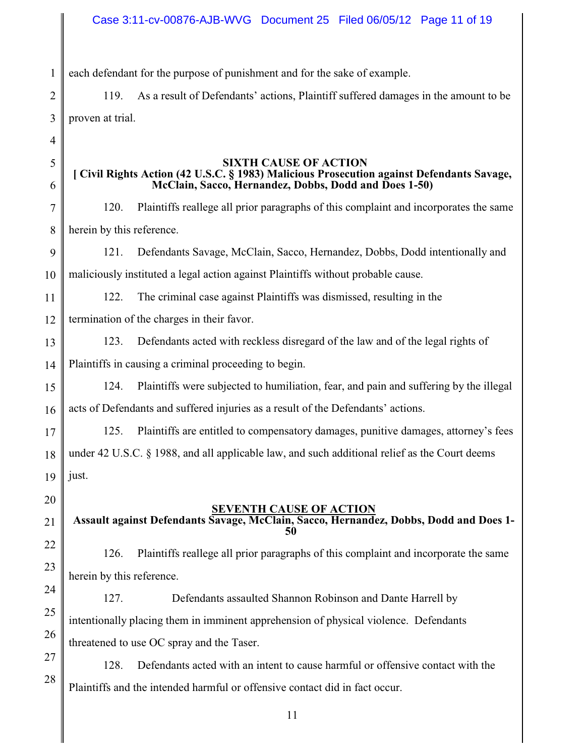## Case 3:11-cv-00876-AJB-WVG Document 25 Filed 06/05/12 Page 11 of 19

1 each defendant for the purpose of punishment and for the sake of example.

119. As a result of Defendants' actions, Plaintiff suffered damages in the amount to be proven at trial.

5 6

2

3

4

#### **SIXTH CAUSE OF ACTION [ Civil Rights Action (42 U.S.C. § 1983) Malicious Prosecution against Defendants Savage, McClain, Sacco, Hernandez, Dobbs, Dodd and Does 1-50)**

7 8 120. Plaintiffs reallege all prior paragraphs of this complaint and incorporates the same herein by this reference.

9 10 121. Defendants Savage, McClain, Sacco, Hernandez, Dobbs, Dodd intentionally and maliciously instituted a legal action against Plaintiffs without probable cause.

11 122. The criminal case against Plaintiffs was dismissed, resulting in the

12 termination of the charges in their favor.

13 123. Defendants acted with reckless disregard of the law and of the legal rights of

14 Plaintiffs in causing a criminal proceeding to begin.

15 16 124. Plaintiffs were subjected to humiliation, fear, and pain and suffering by the illegal acts of Defendants and suffered injuries as a result of the Defendants' actions.

17 18 19 125. Plaintiffs are entitled to compensatory damages, punitive damages, attorney's fees under 42 U.S.C.  $\S$  1988, and all applicable law, and such additional relief as the Court deems just.

20

23

24

25

26

## **SEVENTH CAUSE OF ACTION**

21 22  **Assault against Defendants Savage, McClain, Sacco, Hernandez, Dobbs, Dodd and Does 1- 50** 

126. Plaintiffs reallege all prior paragraphs of this complaint and incorporate the same herein by this reference.

127. Defendants assaulted Shannon Robinson and Dante Harrell by intentionally placing them in imminent apprehension of physical violence. Defendants threatened to use OC spray and the Taser.

27 28 128. Defendants acted with an intent to cause harmful or offensive contact with the Plaintiffs and the intended harmful or offensive contact did in fact occur.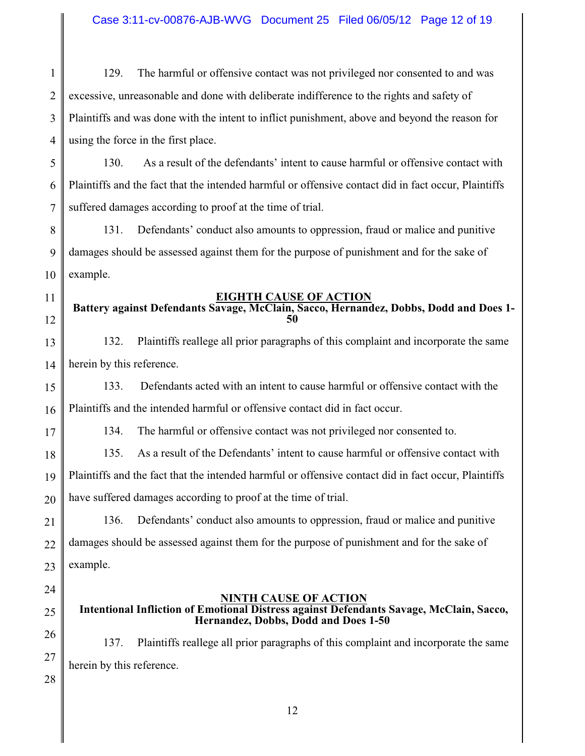1 2 3 4 129. The harmful or offensive contact was not privileged nor consented to and was excessive, unreasonable and done with deliberate indifference to the rights and safety of Plaintiffs and was done with the intent to inflict punishment, above and beyond the reason for using the force in the first place.

5 6 7 130. As a result of the defendants' intent to cause harmful or offensive contact with Plaintiffs and the fact that the intended harmful or offensive contact did in fact occur, Plaintiffs suffered damages according to proof at the time of trial.

8 9 10 131. Defendants' conduct also amounts to oppression, fraud or malice and punitive damages should be assessed against them for the purpose of punishment and for the sake of example.

### **EIGHTH CAUSE OF ACTION**

## **Battery against Defendants Savage, McClain, Sacco, Hernandez, Dobbs, Dodd and Does 1- 50**

13 14 132. Plaintiffs reallege all prior paragraphs of this complaint and incorporate the same herein by this reference.

15 16 133. Defendants acted with an intent to cause harmful or offensive contact with the Plaintiffs and the intended harmful or offensive contact did in fact occur.

134. The harmful or offensive contact was not privileged nor consented to.

18 19 20 135. As a result of the Defendants' intent to cause harmful or offensive contact with Plaintiffs and the fact that the intended harmful or offensive contact did in fact occur, Plaintiffs have suffered damages according to proof at the time of trial.

21 22 23 136. Defendants' conduct also amounts to oppression, fraud or malice and punitive damages should be assessed against them for the purpose of punishment and for the sake of example.

24

25

11

12

17

**NINTH CAUSE OF ACTION Intentional Infliction of Emotional Distress against Defendants Savage, McClain, Sacco, Hernandez, Dobbs, Dodd and Does 1-50**

26 27 137. Plaintiffs reallege all prior paragraphs of this complaint and incorporate the same herein by this reference.

28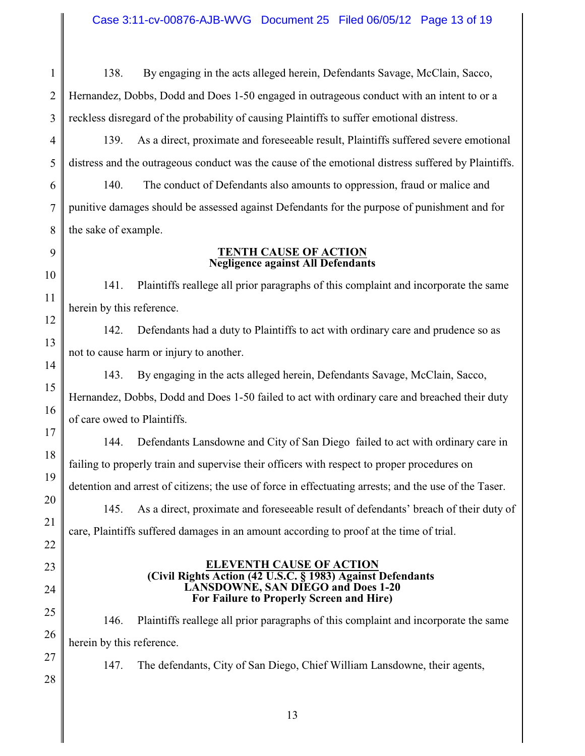138. By engaging in the acts alleged herein, Defendants Savage, McClain, Sacco,

2 3 Hernandez, Dobbs, Dodd and Does 1-50 engaged in outrageous conduct with an intent to or a reckless disregard of the probability of causing Plaintiffs to suffer emotional distress.

4 5 139. As a direct, proximate and foreseeable result, Plaintiffs suffered severe emotional distress and the outrageous conduct was the cause of the emotional distress suffered by Plaintiffs.

6 7 8 140. The conduct of Defendants also amounts to oppression, fraud or malice and punitive damages should be assessed against Defendants for the purpose of punishment and for the sake of example.

9 10

11

12

13

14

15

16

17

18

19

20

21

22

23

24

25

26

27

1

#### **TENTH CAUSE OF ACTION Negligence against All Defendants**

141. Plaintiffs reallege all prior paragraphs of this complaint and incorporate the same herein by this reference.

142. Defendants had a duty to Plaintiffs to act with ordinary care and prudence so as not to cause harm or injury to another.

143. By engaging in the acts alleged herein, Defendants Savage, McClain, Sacco, Hernandez, Dobbs, Dodd and Does 1-50 failed to act with ordinary care and breached their duty of care owed to Plaintiffs.

144. Defendants Lansdowne and City of San Diego failed to act with ordinary care in failing to properly train and supervise their officers with respect to proper procedures on detention and arrest of citizens; the use of force in effectuating arrests; and the use of the Taser.

145. As a direct, proximate and foreseeable result of defendants' breach of their duty of care, Plaintiffs suffered damages in an amount according to proof at the time of trial.

#### **ELEVENTH CAUSE OF ACTION (Civil Rights Action (42 U.S.C. § 1983) Against Defendants LANSDOWNE, SAN DIEGO and Does 1-20 For Failure to Properly Screen and Hire)**

146. Plaintiffs reallege all prior paragraphs of this complaint and incorporate the same herein by this reference.

147. The defendants, City of San Diego, Chief William Lansdowne, their agents,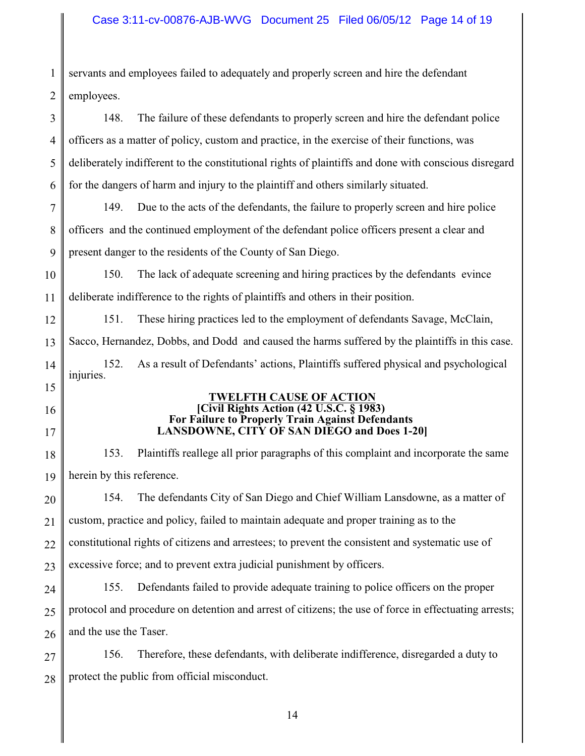## Case 3:11-cv-00876-AJB-WVG Document 25 Filed 06/05/12 Page 14 of 19

1 2 3 4 5 6 7 8 9 10 11 12 13 14 15 16 17 18 19 20 21 22 23 24 25 26 27 servants and employees failed to adequately and properly screen and hire the defendant employees. 148. The failure of these defendants to properly screen and hire the defendant police officers as a matter of policy, custom and practice, in the exercise of their functions, was deliberately indifferent to the constitutional rights of plaintiffs and done with conscious disregard for the dangers of harm and injury to the plaintiff and others similarly situated. 149. Due to the acts of the defendants, the failure to properly screen and hire police officers and the continued employment of the defendant police officers present a clear and present danger to the residents of the County of San Diego. 150. The lack of adequate screening and hiring practices by the defendants evince deliberate indifference to the rights of plaintiffs and others in their position. 151. These hiring practices led to the employment of defendants Savage, McClain, Sacco, Hernandez, Dobbs, and Dodd and caused the harms suffered by the plaintiffs in this case. 152. As a result of Defendants' actions, Plaintiffs suffered physical and psychological injuries. **TWELFTH CAUSE OF ACTION [Civil Rights Action (42 U.S.C. § 1983) For Failure to Properly Train Against Defendants LANSDOWNE, CITY OF SAN DIEGO and Does 1-20]** 153. Plaintiffs reallege all prior paragraphs of this complaint and incorporate the same herein by this reference. 154. The defendants City of San Diego and Chief William Lansdowne, as a matter of custom, practice and policy, failed to maintain adequate and proper training as to the constitutional rights of citizens and arrestees; to prevent the consistent and systematic use of excessive force; and to prevent extra judicial punishment by officers. 155. Defendants failed to provide adequate training to police officers on the proper protocol and procedure on detention and arrest of citizens; the use of force in effectuating arrests; and the use the Taser. 156. Therefore, these defendants, with deliberate indifference, disregarded a duty to

28 protect the public from official misconduct.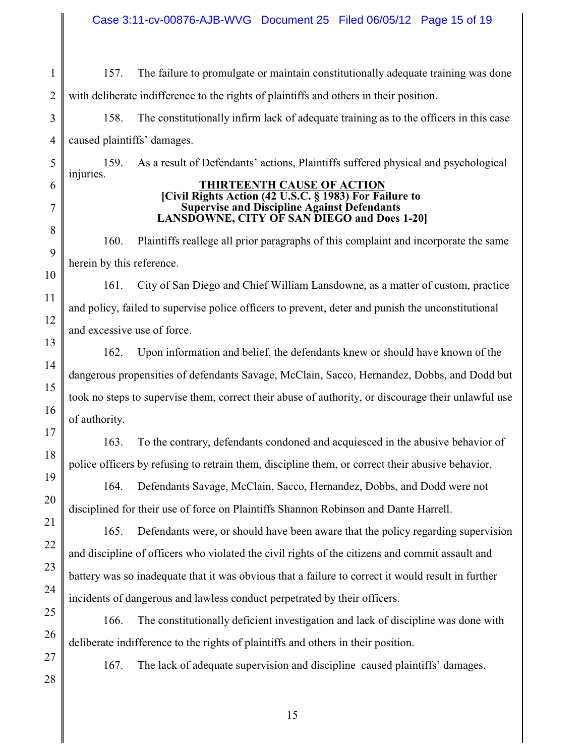Case 3:11-cv-00876-AJB-WVG Document 25 Filed 06/05/12 Page 15 of 19

1 2 157. The failure to promulgate or maintain constitutionally adequate training was done with deliberate indifference to the rights of plaintiffs and others in their position.

158. The constitutionally infirm lack of adequate training as to the officers in this case caused plaintiffs' damages.

159. As a result of Defendants' actions, Plaintiffs suffered physical and psychological injuries.

#### **THIRTEENTH CAUSE OF ACTION [Civil Rights Action (42 U.S.C. § 1983) For Failure to Supervise and Discipline Against Defendants LANSDOWNE, CITY OF SAN DIEGO and Does 1-20]**

160. Plaintiffs reallege all prior paragraphs of this complaint and incorporate the same herein by this reference.

161. City of San Diego and Chief William Lansdowne, as a matter of custom, practice and policy, failed to supervise police officers to prevent, deter and punish the unconstitutional and excessive use of force.

162. Upon information and belief, the defendants knew or should have known of the dangerous propensities of defendants Savage, McClain, Sacco, Hernandez, Dobbs, and Dodd but took no steps to supervise them, correct their abuse of authority, or discourage their unlawful use of authority.

163. To the contrary, defendants condoned and acquiesced in the abusive behavior of police officers by refusing to retrain them, discipline them, or correct their abusive behavior.

164. Defendants Savage, McClain, Sacco, Hernandez, Dobbs, and Dodd were not disciplined for their use of force on Plaintiffs Shannon Robinson and Dante Harrell.

165. Defendants were, or should have been aware that the policy regarding supervision and discipline of officers who violated the civil rights of the citizens and commit assault and battery was so inadequate that it was obvious that a failure to correct it would result in further incidents of dangerous and lawless conduct perpetrated by their officers.

166. The constitutionally deficient investigation and lack of discipline was done with deliberate indifference to the rights of plaintiffs and others in their position.

167. The lack of adequate supervision and discipline caused plaintiffs' damages.

27 28

3

4

5

6

7

8

9

10

11

12

13

14

15

16

17

18

19

20

21

22

23

24

25

26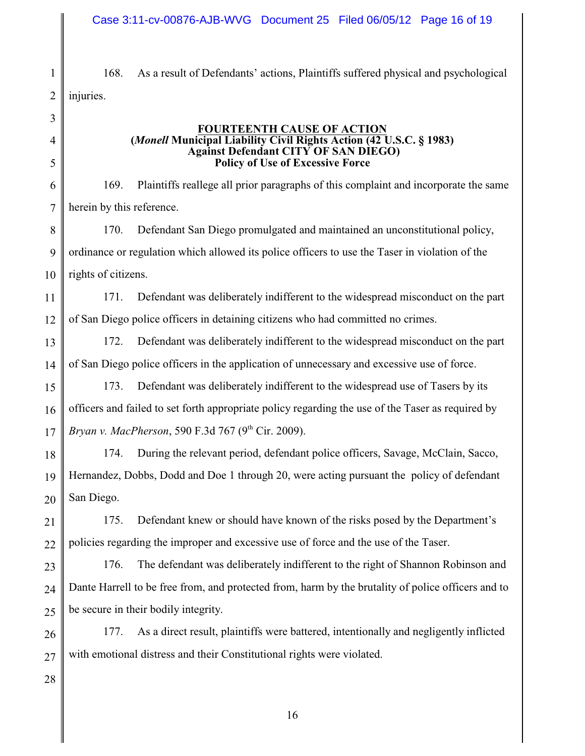#### Case 3:11-cv-00876-AJB-WVG Document 25 Filed 06/05/12 Page 16 of 19

168. As a result of Defendants' actions, Plaintiffs suffered physical and psychological injuries.

3 4 5 6 7 8 9 10 11 12 13 14 15 16 17 18 19 20 21 22 23 24 25 26 **FOURTEENTH CAUSE OF ACTION (***Monell* **Municipal Liability Civil Rights Action (42 U.S.C. § 1983) Against Defendant CITY OF SAN DIEGO) Policy of Use of Excessive Force** 169. Plaintiffs reallege all prior paragraphs of this complaint and incorporate the same herein by this reference. 170. Defendant San Diego promulgated and maintained an unconstitutional policy, ordinance or regulation which allowed its police officers to use the Taser in violation of the rights of citizens. 171. Defendant was deliberately indifferent to the widespread misconduct on the part of San Diego police officers in detaining citizens who had committed no crimes. 172. Defendant was deliberately indifferent to the widespread misconduct on the part of San Diego police officers in the application of unnecessary and excessive use of force. 173. Defendant was deliberately indifferent to the widespread use of Tasers by its officers and failed to set forth appropriate policy regarding the use of the Taser as required by *Bryan v. MacPherson*, 590 F.3d 767 (9<sup>th</sup> Cir. 2009). 174. During the relevant period, defendant police officers, Savage, McClain, Sacco, Hernandez, Dobbs, Dodd and Doe 1 through 20, were acting pursuant the policy of defendant San Diego. 175. Defendant knew or should have known of the risks posed by the Department's policies regarding the improper and excessive use of force and the use of the Taser. 176. The defendant was deliberately indifferent to the right of Shannon Robinson and Dante Harrell to be free from, and protected from, harm by the brutality of police officers and to be secure in their bodily integrity.

27 177. As a direct result, plaintiffs were battered, intentionally and negligently inflicted with emotional distress and their Constitutional rights were violated.

28

1

2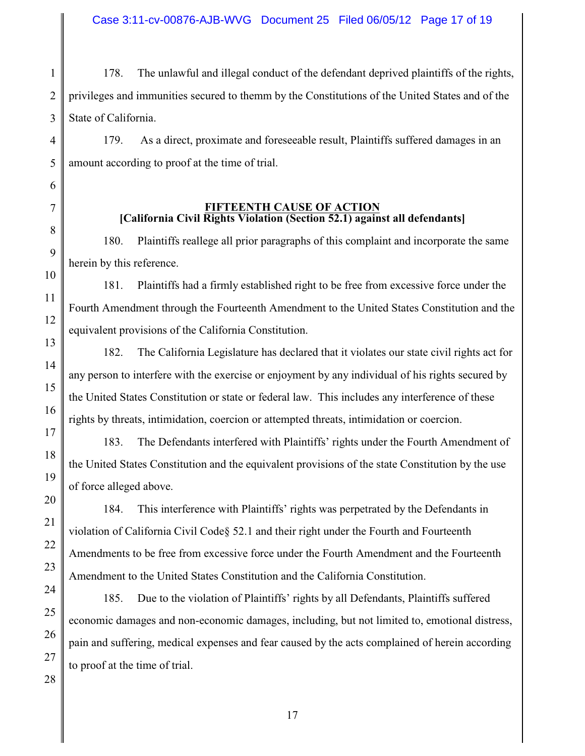1 178. The unlawful and illegal conduct of the defendant deprived plaintiffs of the rights, privileges and immunities secured to themm by the Constitutions of the United States and of the State of California.

179. As a direct, proximate and foreseeable result, Plaintiffs suffered damages in an amount according to proof at the time of trial.

> **FIFTEENTH CAUSE OF ACTION [California Civil Rights Violation (Section 52.1) against all defendants]**

180. Plaintiffs reallege all prior paragraphs of this complaint and incorporate the same herein by this reference.

181. Plaintiffs had a firmly established right to be free from excessive force under the Fourth Amendment through the Fourteenth Amendment to the United States Constitution and the equivalent provisions of the California Constitution.

182. The California Legislature has declared that it violates our state civil rights act for any person to interfere with the exercise or enjoyment by any individual of his rights secured by the United States Constitution or state or federal law. This includes any interference of these rights by threats, intimidation, coercion or attempted threats, intimidation or coercion.

183. The Defendants interfered with Plaintiffs' rights under the Fourth Amendment of the United States Constitution and the equivalent provisions of the state Constitution by the use of force alleged above.

184. This interference with Plaintiffs' rights was perpetrated by the Defendants in violation of California Civil Code§ 52.1 and their right under the Fourth and Fourteenth Amendments to be free from excessive force under the Fourth Amendment and the Fourteenth Amendment to the United States Constitution and the California Constitution.

185. Due to the violation of Plaintiffs' rights by all Defendants, Plaintiffs suffered economic damages and non-economic damages, including, but not limited to, emotional distress, pain and suffering, medical expenses and fear caused by the acts complained of herein according to proof at the time of trial.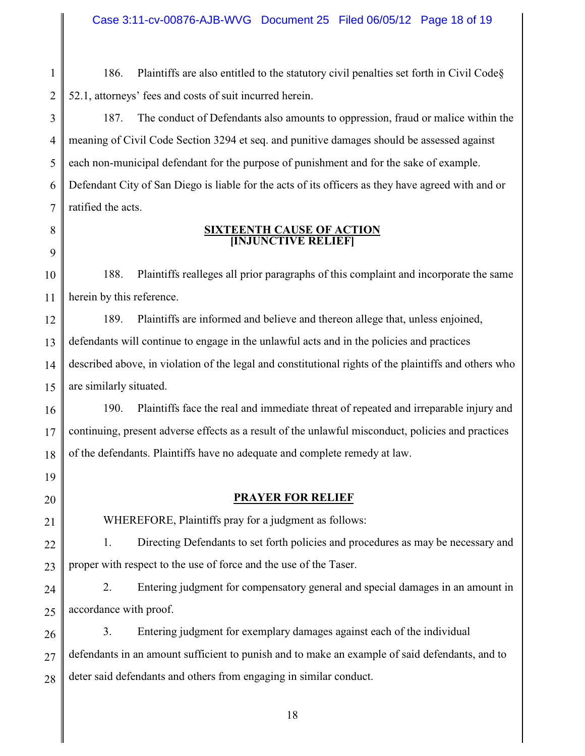Case 3:11-cv-00876-AJB-WVG Document 25 Filed 06/05/12 Page 18 of 19

1 2 186. Plaintiffs are also entitled to the statutory civil penalties set forth in Civil Code§ 52.1, attorneys' fees and costs of suit incurred herein.

3 4 5 6 7 187. The conduct of Defendants also amounts to oppression, fraud or malice within the meaning of Civil Code Section 3294 et seq. and punitive damages should be assessed against each non-municipal defendant for the purpose of punishment and for the sake of example. Defendant City of San Diego is liable for the acts of its officers as they have agreed with and or ratified the acts.

## 8

9

#### **SIXTEENTH CAUSE OF ACTION [INJUNCTIVE RELIEF]**

10 11 188. Plaintiffs realleges all prior paragraphs of this complaint and incorporate the same herein by this reference.

12 13 14 15 189. Plaintiffs are informed and believe and thereon allege that, unless enjoined, defendants will continue to engage in the unlawful acts and in the policies and practices described above, in violation of the legal and constitutional rights of the plaintiffs and others who are similarly situated.

16 17 18 190. Plaintiffs face the real and immediate threat of repeated and irreparable injury and continuing, present adverse effects as a result of the unlawful misconduct, policies and practices of the defendants. Plaintiffs have no adequate and complete remedy at law.

19

20

21

#### **PRAYER FOR RELIEF**

WHEREFORE, Plaintiffs pray for a judgment as follows:

22 23 1. Directing Defendants to set forth policies and procedures as may be necessary and proper with respect to the use of force and the use of the Taser.

24 25 2. Entering judgment for compensatory general and special damages in an amount in accordance with proof.

26 27 28 3. Entering judgment for exemplary damages against each of the individual defendants in an amount sufficient to punish and to make an example of said defendants, and to deter said defendants and others from engaging in similar conduct.